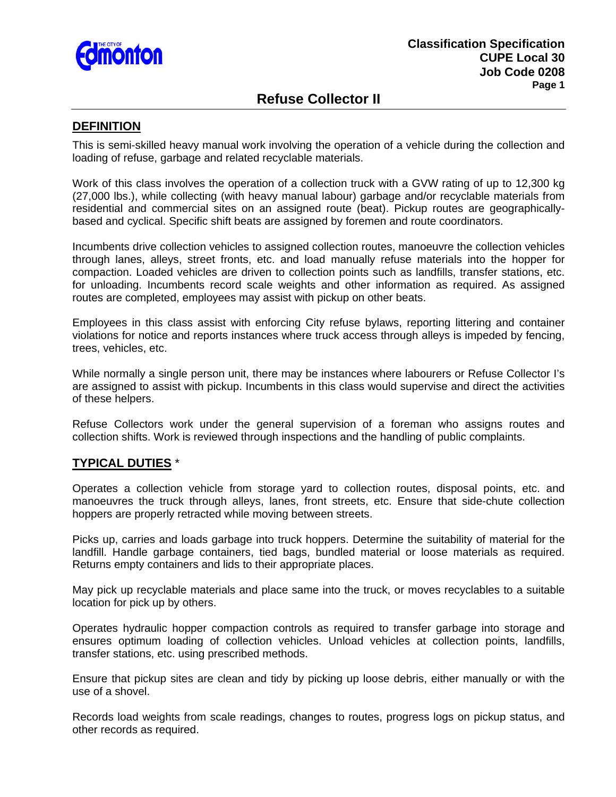

# **Refuse Collector II**

### **DEFINITION**

This is semi-skilled heavy manual work involving the operation of a vehicle during the collection and loading of refuse, garbage and related recyclable materials.

Work of this class involves the operation of a collection truck with a GVW rating of up to 12,300 kg (27,000 lbs.), while collecting (with heavy manual labour) garbage and/or recyclable materials from residential and commercial sites on an assigned route (beat). Pickup routes are geographicallybased and cyclical. Specific shift beats are assigned by foremen and route coordinators.

Incumbents drive collection vehicles to assigned collection routes, manoeuvre the collection vehicles through lanes, alleys, street fronts, etc. and load manually refuse materials into the hopper for compaction. Loaded vehicles are driven to collection points such as landfills, transfer stations, etc. for unloading. Incumbents record scale weights and other information as required. As assigned routes are completed, employees may assist with pickup on other beats.

Employees in this class assist with enforcing City refuse bylaws, reporting littering and container violations for notice and reports instances where truck access through alleys is impeded by fencing, trees, vehicles, etc.

While normally a single person unit, there may be instances where labourers or Refuse Collector I's are assigned to assist with pickup. Incumbents in this class would supervise and direct the activities of these helpers.

Refuse Collectors work under the general supervision of a foreman who assigns routes and collection shifts. Work is reviewed through inspections and the handling of public complaints.

#### **TYPICAL DUTIES** \*

Operates a collection vehicle from storage yard to collection routes, disposal points, etc. and manoeuvres the truck through alleys, lanes, front streets, etc. Ensure that side-chute collection hoppers are properly retracted while moving between streets.

Picks up, carries and loads garbage into truck hoppers. Determine the suitability of material for the landfill. Handle garbage containers, tied bags, bundled material or loose materials as required. Returns empty containers and lids to their appropriate places.

May pick up recyclable materials and place same into the truck, or moves recyclables to a suitable location for pick up by others.

Operates hydraulic hopper compaction controls as required to transfer garbage into storage and ensures optimum loading of collection vehicles. Unload vehicles at collection points, landfills, transfer stations, etc. using prescribed methods.

Ensure that pickup sites are clean and tidy by picking up loose debris, either manually or with the use of a shovel.

Records load weights from scale readings, changes to routes, progress logs on pickup status, and other records as required.